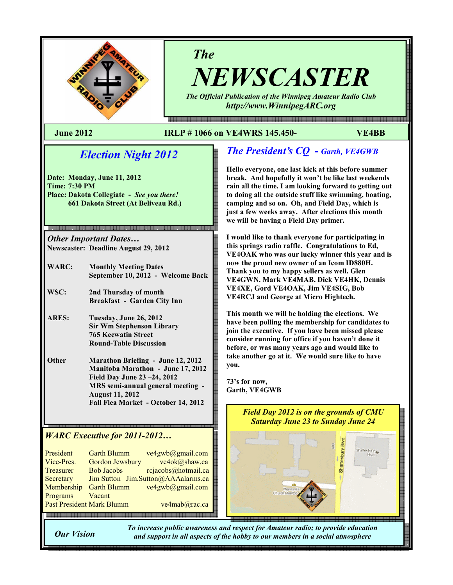

# The

NEWSCASTER The Official Publication of the Winnipeg Amateur Radio Club

http://www.WinnipegARC.org

몖a a a como da como do como do como do como do como do como do como do como do como do como do como do como do

### June 2012 IRLP # 1066 on VE4WRS 145.450- VE4BB

# Election Night 2012

Date: Monday, June 11, 2012 Time: 7:30 PM Place: Dakota Collegiate - See you there! 661 Dakota Street (At Beliveau Rd.)

Other Important Dates… Newscaster: Deadline August 29, 2012

- WARC: Monthly Meeting Dates September 10, 2012 - Welcome Back
- WSC: 2nd Thursday of month Breakfast - Garden City Inn
- ARES: Tuesday, June 26, 2012 Sir Wm Stephenson Library 765 Keewatin Street Round-Table Discussion
- Other Marathon Briefing June 12, 2012 Manitoba Marathon - June 17, 2012 Field Day June 23 –24, 2012 MRS semi-annual general meeting - August 11, 2012 Fall Flea Market - October 14, 2012

## WARC Executive for 2011-2012…

| President                        | <b>Garth Blumm</b> | ve4gwb@gmail.com        |
|----------------------------------|--------------------|-------------------------|
| Vice-Pres.                       | Gordon Jewsbury    | ve4ok@shaw.ca           |
| <b>Treasurer</b>                 | <b>Bob Jacobs</b>  | rcjacobs@hotmail.ca     |
| Secretary                        | <b>Jim Sutton</b>  | Jim.Sutton@AAAalarms.ca |
| Membership                       | <b>Garth Blumm</b> | ve4gwb@gmail.com        |
| Programs                         | Vacant             |                         |
| <b>Past President Mark Blumm</b> |                    | ve4mab@rac.ca           |
|                                  |                    |                         |

# The President's CQ - Garth, VE4GWB

Hello everyone, one last kick at this before summer break. And hopefully it won't be like last weekends rain all the time. I am looking forward to getting out to doing all the outside stuff like swimming, boating, camping and so on. Oh, and Field Day, which is just a few weeks away. After elections this month we will be having a Field Day primer.

I would like to thank everyone for participating in this springs radio raffle. Congratulations to Ed, VE4OAK who was our lucky winner this year and is now the proud new owner of an Icom ID880H. Thank you to my happy sellers as well. Glen VE4GWN, Mark VE4MAB, Dick VE4HK, Dennis VE4XE, Gord VE4OAK, Jim VE4SIG, Bob VE4RCJ and George at Micro Hightech.

This month we will be holding the elections. We have been polling the membership for candidates to join the executive. If you have been missed please consider running for office if you haven't done it before, or was many years ago and would like to take another go at it. We would sure like to have you.

73's for now, Garth, VE4GWB



Our Vision

To increase public awareness and respect for Amateur radio; to provide education and support in all aspects of the hobby to our members in a social atmosphere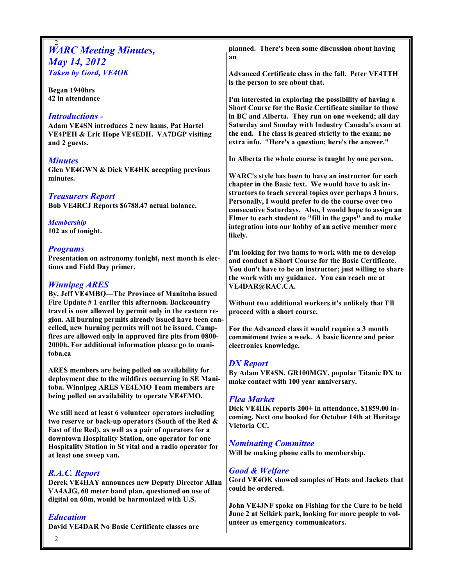|                                                                                                                 | planned. There's been some discussion about having                                                             |
|-----------------------------------------------------------------------------------------------------------------|----------------------------------------------------------------------------------------------------------------|
| <b>WARC Meeting Minutes,</b>                                                                                    | an                                                                                                             |
| <b>May 14, 2012</b>                                                                                             |                                                                                                                |
| <b>Taken by Gord, VE4OK</b>                                                                                     | Advanced Certificate class in the fall. Peter VE4TTH                                                           |
| Began 1940hrs                                                                                                   | is the person to see about that.                                                                               |
| 42 in attendance                                                                                                | I'm interested in exploring the possibility of having a                                                        |
|                                                                                                                 | Short Course for the Basic Certificate similar to those                                                        |
| <b>Introductions -</b>                                                                                          | in BC and Alberta. They run on one weekend; all day                                                            |
| Adam VE4SN introduces 2 new hams, Pat Hartel                                                                    | Saturday and Sunday with Industry Canada's exam at                                                             |
| VE4PEH & Eric Hope VE4EDH. VA7DGP visiting                                                                      | the end. The class is geared strictly to the exam; no                                                          |
| and 2 guests.                                                                                                   | extra info. "Here's a question; here's the answer."                                                            |
| <b>Minutes</b>                                                                                                  | In Alberta the whole course is taught by one person.                                                           |
| Glen VE4GWN & Dick VE4HK accepting previous                                                                     |                                                                                                                |
| minutes.                                                                                                        | WARC's style has been to have an instructor for each                                                           |
|                                                                                                                 | chapter in the Basic text. We would have to ask in-                                                            |
| <b>Treasurers Report</b>                                                                                        | structors to teach several topics over perhaps 3 hours.                                                        |
| Bob VE4RCJ Reports \$6788.47 actual balance.                                                                    | Personally, I would prefer to do the course over two<br>consecutive Saturdays. Also, I would hope to assign an |
|                                                                                                                 | Elmer to each student to "fill in the gaps" and to make                                                        |
| <b>Membership</b><br>102 as of tonight.                                                                         | integration into our hobby of an active member more                                                            |
|                                                                                                                 | likely.                                                                                                        |
| <b>Programs</b>                                                                                                 |                                                                                                                |
| Presentation on astronomy tonight, next month is elec-                                                          | I'm looking for two hams to work with me to develop<br>and conduct a Short Course for the Basic Certificate.   |
| tions and Field Day primer.                                                                                     | You don't have to be an instructor; just willing to share                                                      |
|                                                                                                                 | the work with my guidance. You can reach me at                                                                 |
| <b>Winnipeg ARES</b>                                                                                            | VE4DAR@RAC.CA.                                                                                                 |
| By, Jeff VE4MBQ-The Province of Manitoba issued<br>Fire Update #1 earlier this afternoon. Backcountry           | Without two additional workers it's unlikely that I'll                                                         |
| travel is now allowed by permit only in the eastern re-                                                         | proceed with a short course.                                                                                   |
| gion. All burning permits already issued have been can-                                                         |                                                                                                                |
| celled, new burning permits will not be issued. Camp-                                                           | For the Advanced class it would require a 3 month                                                              |
| fires are allowed only in approved fire pits from 0800-<br>2000h. For additional information please go to mani- | commitment twice a week. A basic licence and prior                                                             |
| toba.ca                                                                                                         | electronics knowledge.                                                                                         |
|                                                                                                                 | <b>DX</b> Report                                                                                               |
| ARES members are being polled on availability for                                                               | By Adam VE4SN. GR100MGY, popular Titanic DX to                                                                 |
| deployment due to the wildfires occurring in SE Mani-                                                           | make contact with 100 year anniversary.                                                                        |
| toba. Winnipeg ARES VE4EMO Team members are                                                                     |                                                                                                                |
| being polled on availability to operate VE4EMO.                                                                 | <b>Flea Market</b>                                                                                             |
| We still need at least 6 volunteer operators including                                                          | Dick VE4HK reports 200+ in attendance, \$1859.00 in-                                                           |
| two reserve or back-up operators (South of the Red &                                                            | coming. Next one booked for October 14th at Heritage<br>Victoria CC.                                           |
| East of the Red), as well as a pair of operators for a                                                          |                                                                                                                |
| downtown Hospitality Station, one operator for one                                                              | <b>Nominating Committee</b>                                                                                    |
| Hospitality Station in St vital and a radio operator for<br>at least one sweep van.                             | Will be making phone calls to membership.                                                                      |
|                                                                                                                 |                                                                                                                |
| R.A.C. Report                                                                                                   | <b>Good &amp; Welfare</b>                                                                                      |
| Derek VE4HAY announces new Deputy Director Allan                                                                | Gord VE4OK showed samples of Hats and Jackets that<br>could be ordered.                                        |
| VA4AJG, 60 meter band plan, questioned on use of                                                                |                                                                                                                |
| digital on 60m, would be harmonized with U.S.                                                                   | John VE4JNF spoke on Fishing for the Cure to be held                                                           |
| <b>Education</b>                                                                                                | June 2 at Selkirk park, looking for more people to vol-                                                        |
| David VE4DAR No Basic Certificate classes are                                                                   | unteer as emergency communicators.                                                                             |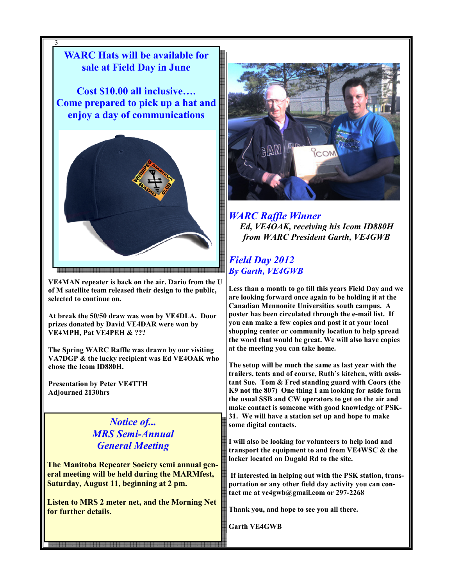

VE4MAN repeater is back on the air. Dario from the U of M satellite team released their design to the public, selected to continue on.

At break the 50/50 draw was won by VE4DLA. Door prizes donated by David VE4DAR were won by VE4MPH, Pat VE4PEH & ???

The Spring WARC Raffle was drawn by our visiting VA7DGP & the lucky recipient was Ed VE4OAK who chose the Icom ID880H.

Presentation by Peter VE4TTH Adjourned 2130hrs

> Notice of... MRS Semi-Annual General Meeting

The Manitoba Repeater Society semi annual general meeting will be held during the MARMfest, Saturday, August 11, beginning at 2 pm.

Listen to MRS 2 meter net, and the Morning Net for further details.

3



WARC Raffle Winner Ed, VE4OAK, receiving his Icom ID880H from WARC President Garth, VE4GWB

## Field Day 2012 By Garth, VE4GWB

Less than a month to go till this years Field Day and we are looking forward once again to be holding it at the Canadian Mennonite Universities south campus. A poster has been circulated through the e-mail list. If you can make a few copies and post it at your local shopping center or community location to help spread the word that would be great. We will also have copies at the meeting you can take home.

The setup will be much the same as last year with the trailers, tents and of course, Ruth's kitchen, with assistant Sue. Tom & Fred standing guard with Coors (the K9 not the 807) One thing I am looking for aside form the usual SSB and CW operators to get on the air and make contact is someone with good knowledge of PSK-31. We will have a station set up and hope to make some digital contacts.

I will also be looking for volunteers to help load and transport the equipment to and from VE4WSC & the locker located on Dugald Rd to the site.

 If interested in helping out with the PSK station, transportation or any other field day activity you can contact me at ve4gwb@gmail.com or 297-2268

Thank you, and hope to see you all there.

Garth VE4GWB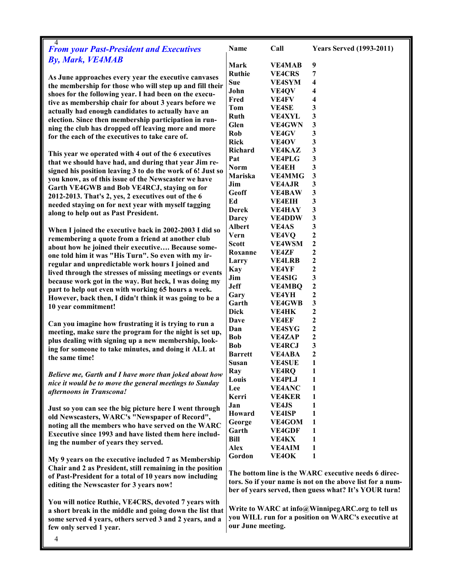| 4<br><b>From your Past-President and Executives</b>                                                         | Name                                                      | Call                          | <b>Years Served (1993-2011)</b>                       |
|-------------------------------------------------------------------------------------------------------------|-----------------------------------------------------------|-------------------------------|-------------------------------------------------------|
| <b>By, Mark, VE4MAB</b>                                                                                     | Mark                                                      | <b>VE4MAB</b>                 | 9                                                     |
|                                                                                                             | <b>Ruthie</b>                                             | <b>VE4CRS</b>                 | 7                                                     |
| As June approaches every year the executive canvases                                                        | Sue                                                       | <b>VE4SYM</b>                 | 4                                                     |
| the membership for those who will step up and fill their                                                    | John                                                      | VE4QV                         | 4                                                     |
| shoes for the following year. I had been on the execu-                                                      | Fred                                                      | <b>VE4FV</b>                  | 4                                                     |
| tive as membership chair for about 3 years before we                                                        | Tom                                                       | <b>VE4SE</b>                  | 3                                                     |
| actually had enough candidates to actually have an<br>election. Since then membership participation in run- | Ruth                                                      | <b>VE4XYL</b>                 | 3                                                     |
| ning the club has dropped off leaving more and more                                                         | Glen                                                      | <b>VE4GWN</b>                 | 3                                                     |
| for the each of the executives to take care of.                                                             | Rob                                                       | <b>VE4GV</b>                  | 3                                                     |
|                                                                                                             | <b>Rick</b>                                               | VE <sub>4</sub> OV            | 3                                                     |
| This year we operated with 4 out of the 6 executives                                                        | <b>Richard</b>                                            | <b>VE4KAZ</b>                 | 3                                                     |
| that we should have had, and during that year Jim re-                                                       | Pat                                                       | <b>VE4PLG</b>                 | 3                                                     |
| signed his position leaving 3 to do the work of 6! Just so                                                  | <b>Norm</b>                                               | <b>VE4EH</b>                  | 3                                                     |
| you know, as of this issue of the Newscaster we have                                                        | Mariska                                                   | <b>VE4MMG</b>                 | 3                                                     |
| Garth VE4GWB and Bob VE4RCJ, staying on for                                                                 | Jim                                                       | <b>VE4AJR</b>                 | 3                                                     |
| 2012-2013. That's 2, yes, 2 executives out of the 6                                                         | Geoff                                                     | <b>VE4BAW</b>                 | 3                                                     |
| needed staying on for next year with myself tagging                                                         | Ed                                                        | <b>VE4EIH</b>                 | 3                                                     |
| along to help out as Past President.                                                                        | Derek                                                     | <b>VE4HAY</b>                 | 3                                                     |
|                                                                                                             | Darcy                                                     | <b>VE4DDW</b>                 | 3                                                     |
| When I joined the executive back in 2002-2003 I did so                                                      | <b>Albert</b>                                             | <b>VE4AS</b>                  | 3                                                     |
| remembering a quote from a friend at another club                                                           | Vern                                                      | VE4VQ                         | $\mathbf{2}$                                          |
| about how he joined their executive Because some-                                                           | <b>Scott</b>                                              | <b>VE4WSM</b>                 | 2                                                     |
| one told him it was "His Turn". So even with my ir-                                                         | Roxanne                                                   | <b>VE4ZF</b>                  | 2                                                     |
| regular and unpredictable work hours I joined and                                                           | Larry                                                     | <b>VE4LRB</b>                 | $\boldsymbol{2}$<br>$\mathbf{2}$                      |
| lived through the stresses of missing meetings or events                                                    | <b>Kay</b>                                                | <b>VE4YF</b>                  | 3                                                     |
| because work got in the way. But heck, I was doing my                                                       | Jim<br><b>Jeff</b>                                        | <b>VE4SIG</b>                 | $\boldsymbol{2}$                                      |
| part to help out even with working 65 hours a week.                                                         | Gary                                                      | <b>VE4MBQ</b><br><b>VE4YH</b> | $\boldsymbol{2}$                                      |
| However, back then, I didn't think it was going to be a                                                     | Garth                                                     | <b>VE4GWB</b>                 | 3                                                     |
| 10 year commitment!                                                                                         | <b>Dick</b>                                               | <b>VE4HK</b>                  | $\boldsymbol{2}$                                      |
|                                                                                                             | Dave                                                      | <b>VE4EF</b>                  | $\mathbf{2}$                                          |
| Can you imagine how frustrating it is trying to run a                                                       | Dan                                                       | <b>VE4SYG</b>                 | $\boldsymbol{2}$                                      |
| meeting, make sure the program for the night is set up,                                                     | <b>Bob</b>                                                | <b>VE4ZAP</b>                 | $\boldsymbol{2}$                                      |
| plus dealing with signing up a new membership, look-                                                        | <b>Bob</b>                                                | <b>VE4RCJ</b>                 | 3                                                     |
| ing for someone to take minutes, and doing it ALL at                                                        | <b>Barrett</b>                                            | <b>VE4ABA</b>                 | 2                                                     |
| the same time!                                                                                              | Susan                                                     | <b>VE4SUE</b>                 | 1                                                     |
|                                                                                                             | Ray                                                       | VE4RQ                         | 1                                                     |
| Believe me, Garth and I have more than joked about how                                                      | Louis                                                     | <b>VE4PLJ</b>                 |                                                       |
| nice it would be to move the general meetings to Sunday<br>afternoons in Transcona!                         | Lee                                                       | <b>VE4ANC</b>                 | 1                                                     |
|                                                                                                             | Kerri                                                     | <b>VE4KER</b>                 | 1                                                     |
| Just so you can see the big picture here I went through                                                     | Jan                                                       | <b>VE4JS</b>                  | 1                                                     |
| old Newscasters, WARC's "Newspaper of Record",                                                              | Howard                                                    | <b>VE4ISP</b>                 | 1                                                     |
| noting all the members who have served on the WARC                                                          | George                                                    | VE4GOM                        | 1                                                     |
| Executive since 1993 and have listed them here includ-                                                      | Garth                                                     | <b>VE4GDF</b>                 | 1                                                     |
| ing the number of years they served.                                                                        | <b>Bill</b>                                               | <b>VE4KX</b>                  | 1                                                     |
|                                                                                                             | <b>Alex</b>                                               | <b>VE4AIM</b>                 | 1                                                     |
| My 9 years on the executive included 7 as Membership                                                        | Gordon                                                    | VE4OK                         | 1                                                     |
| Chair and 2 as President, still remaining in the position                                                   |                                                           |                               |                                                       |
| of Past-President for a total of 10 years now including                                                     | The bottom line is the WARC executive needs 6 direc-      |                               |                                                       |
| editing the Newscaster for 3 years now!                                                                     | tors. So if your name is not on the above list for a num- |                               |                                                       |
|                                                                                                             |                                                           |                               | ber of years served, then guess what? It's YOUR turn! |
| You will notice Ruthie, VE4CRS, devoted 7 years with                                                        |                                                           |                               |                                                       |
| a short break in the middle and going down the list that                                                    | Write to WARC at info@WinnipegARC.org to tell us          |                               |                                                       |
| some served 4 years, others served 3 and 2 years, and a                                                     | you WILL run for a position on WARC's executive at        |                               |                                                       |
| few only served 1 year.                                                                                     | our June meeting.                                         |                               |                                                       |
| 4                                                                                                           |                                                           |                               |                                                       |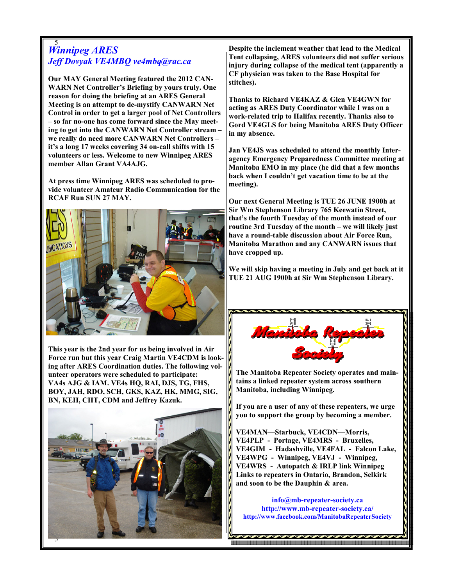#### 5 Winnipeg ARES Jeff Dovyak VE4MBQ ve4mbq@rac.ca

Our MAY General Meeting featured the 2012 CAN-WARN Net Controller's Briefing by yours truly. One reason for doing the briefing at an ARES General Meeting is an attempt to de-mystify CANWARN Net Control in order to get a larger pool of Net Controllers – so far no-one has come forward since the May meeting to get into the CANWARN Net Controller stream – we really do need more CANWARN Net Controllers – it's a long 17 weeks covering 34 on-call shifts with 15 volunteers or less. Welcome to new Winnipeg ARES member Allan Grant VA4AJG.

At press time Winnipeg ARES was scheduled to provide volunteer Amateur Radio Communication for the RCAF Run SUN 27 MAY.



This year is the 2nd year for us being involved in Air Force run but this year Craig Martin VE4CDM is looking after ARES Coordination duties. The following volunteer operators were scheduled to participate: VA4s AJG & IAM. VE4s HQ, RAI, DJS, TG, FHS, BOY, JAH, RDO, SCH, GKS, KAZ, HK, MMG, SIG, BN, KEH, CHT, CDM and Jeffrey Kazuk.



Despite the inclement weather that lead to the Medical Tent collapsing, ARES volunteers did not suffer serious injury during collapse of the medical tent (apparently a CF physician was taken to the Base Hospital for stitches).

Thanks to Richard VE4KAZ & Glen VE4GWN for acting as ARES Duty Coordinator while I was on a work-related trip to Halifax recently. Thanks also to Gord VE4GLS for being Manitoba ARES Duty Officer in my absence.

Jan VE4JS was scheduled to attend the monthly Interagency Emergency Preparedness Committee meeting at Manitoba EMO in my place (he did that a few months back when I couldn't get vacation time to be at the meeting).

Our next General Meeting is TUE 26 JUNE 1900h at Sir Wm Stephenson Library 765 Keewatin Street, that's the fourth Tuesday of the month instead of our routine 3rd Tuesday of the month – we will likely just have a round-table discussion about Air Force Run, Manitoba Marathon and any CANWARN issues that have cropped up.

We will skip having a meeting in July and get back at it TUE 21 AUG 1900h at Sir Wm Stephenson Library.



The Manitoba Repeater Society operates and maintains a linked repeater system across southern Manitoba, including Winnipeg.

If you are a user of any of these repeaters, we urge you to support the group by becoming a member.

VE4MAN—Starbuck, VE4CDN—Morris, VE4PLP - Portage, VE4MRS - Bruxelles, VE4GIM - Hadashville, VE4FAL - Falcon Lake, VE4WPG - Winnipeg, VE4VJ - Winnipeg, VE4WRS - Autopatch & IRLP link Winnipeg Links to repeaters in Ontario, Brandon, Selkirk and soon to be the Dauphin & area.

info@mb-repeater-society.ca http://www.mb-repeater-society.ca/ http://www.facebook.com/ManitobaRepeaterSociety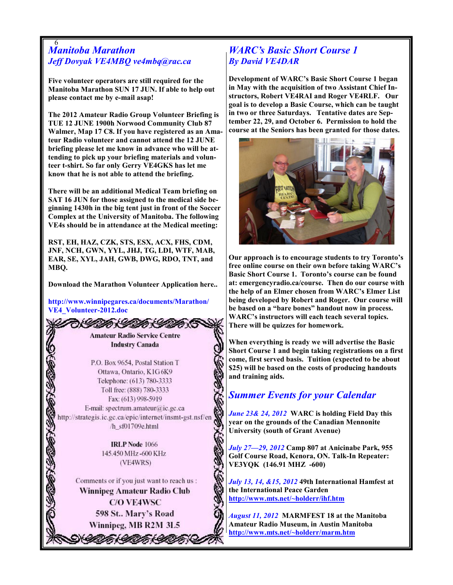#### 6 Manitoba Marathon Jeff Dovyak VE4MBQ ve4mbq@rac.ca

Five volunteer operators are still required for the Manitoba Marathon SUN 17 JUN. If able to help out please contact me by e-mail asap!

The 2012 Amateur Radio Group Volunteer Briefing is TUE 12 JUNE 1900h Norwood Community Club 87 Walmer, Map 17 C8. If you have registered as an Amateur Radio volunteer and cannot attend the 12 JUNE briefing please let me know in advance who will be attending to pick up your briefing materials and volunteer t-shirt. So far only Gerry VE4GKS has let me know that he is not able to attend the briefing.

There will be an additional Medical Team briefing on SAT 16 JUN for those assigned to the medical side beginning 1430h in the big tent just in front of the Soccer Complex at the University of Manitoba. The following VE4s should be in attendance at the Medical meeting:

RST, EH, HAZ, CZK, STS, ESX, ACX, FHS, CDM, JNF, NCH, GWN, YYL, JHJ, TG, LDI, WTF, MAB, EAR, SE, XYL, JAH, GWB, DWG, RDO, TNT, and MBQ.

Download the Marathon Volunteer Application here..

http://www.winnipegares.ca/documents/Marathon/ VE4\_Volunteer-2012.doc

> **Amateur Radio Service Centre Industry Canada**

うくしのんしのじんしのかい

P.O. Box 9654, Postal Station T Ottawa, Ontario, K1G6K9 Telephone: (613) 780-3333 Toll free: (888) 780-3333 Fax: (613) 998-5919 E-mail: spectrum.amateur@ic.gc.ca http://strategis.ic.gc.ca/epic/internet/insmt-gst.nsf/en /h sf01709e.html

> **IRLP** Node 1066 145.450 MHz -600 KHz (VE4WRS)

Comments or if you just want to reach us: Winnipeg Amateur Radio Club **C/O VE4WSC** 598 St.. Mary's Road Winnipeg, MB R2M 3L5

\* II AI AI AI

6

## WARC's Basic Short Course 1 By David VE4DAR

Development of WARC's Basic Short Course 1 began in May with the acquisition of two Assistant Chief Instructors, Robert VE4RAI and Roger VE4RLF. Our goal is to develop a Basic Course, which can be taught in two or three Saturdays. Tentative dates are September 22, 29, and October 6. Permission to hold the course at the Seniors has been granted for those dates.



Our approach is to encourage students to try Toronto's free online course on their own before taking WARC's Basic Short Course 1. Toronto's course can be found at: emergencyradio.ca/course. Then do our course with the help of an Elmer chosen from WARC's Elmer List being developed by Robert and Roger. Our course will be based on a "bare bones" handout now in process. WARC's instructors will each teach several topics. There will be quizzes for homework.

When everything is ready we will advertise the Basic Short Course 1 and begin taking registrations on a first come, first served basis. Tuition (expected to be about \$25) will be based on the costs of producing handouts and training aids.

## Summer Events for your Calendar

June 23& 24, 2012 WARC is holding Field Day this year on the grounds of the Canadian Mennonite University (south of Grant Avenue)

July 27—29, 2012 Camp 807 at Anicinabe Park, 955 Golf Course Road, Kenora, ON. Talk-In Repeater: VE3YQK (146.91 MHZ -600)

July 13, 14, &15, 2012 49th International Hamfest at the International Peace Garden http://www.mts.net/~holderr/ihf.htm

August 11, 2012 MARMFEST 18 at the Manitoba Amateur Radio Museum, in Austin Manitoba http://www.mts.net/~holderr/marm.htm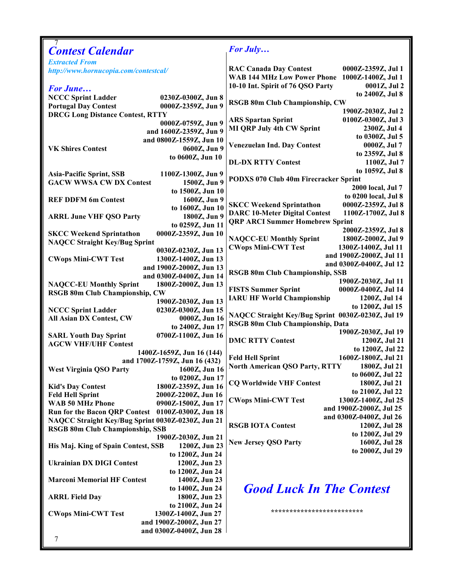| <b>Contest Calendar</b>                                                                        | <b>For July</b>                                            |
|------------------------------------------------------------------------------------------------|------------------------------------------------------------|
| <b>Extracted From</b>                                                                          |                                                            |
| http://www.hornucopia.com/contestcal/                                                          | <b>RAC Canada Day Contest</b><br>0000Z-2359Z, Jul 1        |
|                                                                                                | WAB 144 MHz Low Power Phone 1000Z-1400Z, Jul 1             |
| <b>For June</b>                                                                                | 10-10 Int. Spirit of 76 QSO Party<br>0001Z, Jul 2          |
| <b>NCCC Sprint Ladder</b><br>0230Z-0300Z, Jun 8                                                | to 2400Z, Jul 8                                            |
| <b>Portugal Day Contest</b><br>0000Z-2359Z, Jun 9                                              | <b>RSGB 80m Club Championship, CW</b>                      |
| <b>DRCG Long Distance Contest, RTTY</b>                                                        | 1900Z-2030Z, Jul 2                                         |
| 0000Z-0759Z, Jun 9                                                                             | <b>ARS Spartan Sprint</b><br>0100Z-0300Z, Jul 3            |
| and 1600Z-2359Z, Jun 9                                                                         | <b>MI QRP July 4th CW Sprint</b><br>2300Z, Jul 4           |
| and 0800Z-1559Z, Jun 10                                                                        | to 0300Z, Jul 5                                            |
| 0600Z, Jun 9<br><b>VK Shires Contest</b>                                                       | <b>Venezuelan Ind. Day Contest</b><br>0000Z, Jul 7         |
| to 0600Z, Jun 10                                                                               | to 2359Z, Jul 8                                            |
|                                                                                                | <b>DL-DX RTTY Contest</b><br>1100Z, Jul 7                  |
| <b>Asia-Pacific Sprint, SSB</b><br>1100Z-1300Z, Jun 9                                          | to 1059Z, Jul 8                                            |
| <b>GACW WWSA CW DX Contest</b><br>1500Z, Jun 9                                                 | PODXS 070 Club 40m Firecracker Sprint                      |
| to 1500Z, Jun 10                                                                               | 2000 local, Jul 7                                          |
| <b>REF DDFM 6m Contest</b><br>1600Z, Jun 9                                                     | to 0200 local, Jul 8                                       |
| to 1600Z, Jun 10                                                                               | <b>SKCC Weekend Sprintathon</b><br>0000Z-2359Z, Jul 8      |
| 1800Z, Jun 9                                                                                   | <b>DARC 10-Meter Digital Contest</b><br>1100Z-1700Z, Jul 8 |
| <b>ARRL June VHF QSO Party</b>                                                                 | <b>QRP ARCI Summer Homebrew Sprint</b>                     |
| to 0259Z, Jun 11<br>0000Z-2359Z, Jun 10                                                        | 2000Z-2359Z, Jul 8                                         |
| <b>SKCC Weekend Sprintathon</b>                                                                | <b>NAQCC-EU Monthly Sprint</b><br>1800Z-2000Z, Jul 9       |
| <b>NAQCC Straight Key/Bug Sprint</b>                                                           | <b>CWops Mini-CWT Test</b><br>1300Z-1400Z, Jul 11          |
| 0030Z-0230Z, Jun 13<br>1300Z-1400Z, Jun 13                                                     | and 1900Z-2000Z, Jul 11                                    |
| <b>CWops Mini-CWT Test</b>                                                                     | and 0300Z-0400Z, Jul 12                                    |
| and 1900Z-2000Z, Jun 13                                                                        | <b>RSGB 80m Club Championship, SSB</b>                     |
| and 0300Z-0400Z, Jun 14                                                                        | 1900Z-2030Z, Jul 11                                        |
| <b>NAQCC-EU Monthly Sprint</b><br>1800Z-2000Z, Jun 13<br><b>RSGB 80m Club Championship, CW</b> | <b>FISTS Summer Sprint</b><br>0000Z-0400Z, Jul 14          |
| 1900Z-2030Z, Jun 13                                                                            | <b>IARU HF World Championship</b><br>1200Z, Jul 14         |
| 0230Z-0300Z, Jun 15<br><b>NCCC Sprint Ladder</b>                                               | to 1200Z, Jul 15                                           |
| All Asian DX Contest, CW<br>0000Z, Jun 16                                                      | NAQCC Straight Key/Bug Sprint 0030Z-0230Z, Jul 19          |
| to 2400Z, Jun 17                                                                               | RSGB 80m Club Championship, Data                           |
| 0700Z-1100Z, Jun 16<br><b>SARL Youth Day Sprint</b>                                            | 1900Z-2030Z, Jul 19                                        |
| <b>AGCW VHF/UHF Contest</b>                                                                    | <b>DMC RTTY Contest</b><br>1200Z, Jul 21                   |
| 1400Z-1659Z, Jun 16 (144)                                                                      | to 1200Z, Jul 22                                           |
| and 1700Z-1759Z, Jun 16 (432)                                                                  | <b>Feld Hell Sprint</b><br>1600Z-1800Z, Jul 21             |
| 1600Z, Jun 16<br><b>West Virginia QSO Party</b>                                                | North American QSO Party, RTTY<br>1800Z, Jul 21            |
| to 0200Z, Jun 17                                                                               | to 0600Z, Jul 22                                           |
| 1800Z-2359Z, Jun 16<br><b>Kid's Day Contest</b>                                                | <b>CQ Worldwide VHF Contest</b><br>1800Z, Jul 21           |
| <b>Feld Hell Sprint</b><br>2000Z-2200Z, Jun 16                                                 | to 2100Z, Jul 22                                           |
| <b>WAB 50 MHz Phone</b><br>0900Z-1500Z, Jun 17                                                 | 1300Z-1400Z, Jul 25<br><b>CWops Mini-CWT Test</b>          |
| Run for the Bacon QRP Contest 0100Z-0300Z, Jun 18                                              | and 1900Z-2000Z, Jul 25                                    |
| NAQCC Straight Key/Bug Sprint 0030Z-0230Z, Jun 21                                              | and 0300Z-0400Z, Jul 26                                    |
| <b>RSGB 80m Club Championship, SSB</b>                                                         | <b>RSGB IOTA Contest</b><br>1200Z, Jul 28                  |
| 1900Z-2030Z, Jun 21                                                                            | to 1200Z, Jul 29                                           |
| 1200Z, Jun 23<br>His Maj. King of Spain Contest, SSB                                           | <b>New Jersey QSO Party</b><br>1600Z, Jul 28               |
| to 1200Z, Jun 24                                                                               | to 2000Z, Jul 29                                           |
| <b>Ukrainian DX DIGI Contest</b><br>1200Z, Jun 23                                              |                                                            |
| to 1200Z, Jun 24                                                                               |                                                            |
| <b>Marconi Memorial HF Contest</b><br>1400Z, Jun 23                                            |                                                            |
| to 1400Z, Jun 24                                                                               | <b>Good Luck In The Contest</b>                            |
| <b>ARRL Field Day</b><br>1800Z, Jun 23                                                         |                                                            |
| to 2100Z, Jun 24                                                                               |                                                            |
| <b>CWops Mini-CWT Test</b><br>1300Z-1400Z, Jun 27                                              | **************************                                 |
| and 1900Z-2000Z, Jun 27                                                                        |                                                            |
| and 0300Z-0400Z, Jun 28                                                                        |                                                            |
| 7                                                                                              |                                                            |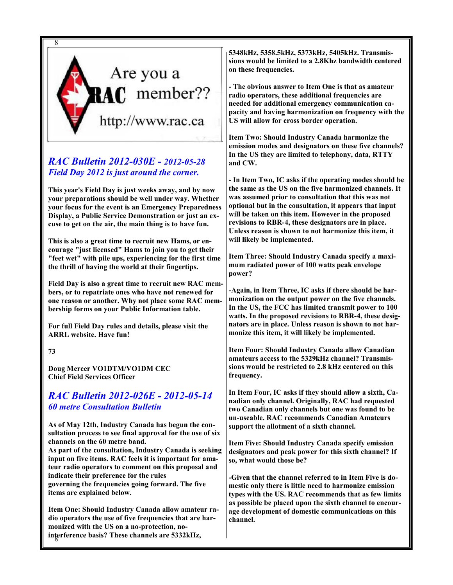

## RAC Bulletin 2012-030E - 2012-05-28 Field Day 2012 is just around the corner.

This year's Field Day is just weeks away, and by now your preparations should be well under way. Whether your focus for the event is an Emergency Preparedness Display, a Public Service Demonstration or just an excuse to get on the air, the main thing is to have fun.

This is also a great time to recruit new Hams, or encourage "just licensed" Hams to join you to get their "feet wet" with pile ups, experiencing for the first time the thrill of having the world at their fingertips.

Field Day is also a great time to recruit new RAC members, or to repatriate ones who have not renewed for one reason or another. Why not place some RAC membership forms on your Public Information table.

For full Field Day rules and details, please visit the ARRL website. Have fun!

73

Doug Mercer VO1DTM/VO1DM CEC Chief Field Services Officer

## RAC Bulletin 2012-026E - 2012-05-14 60 metre Consultation Bulletin

As of May 12th, Industry Canada has begun the consultation process to see final approval for the use of six channels on the 60 metre band.

As part of the consultation, Industry Canada is seeking input on five items. RAC feels it is important for amateur radio operators to comment on this proposal and indicate their preference for the rules governing the frequencies going forward. The five

items are explained below.

8 interference basis? These channels are 5332kHz, Item One: Should Industry Canada allow amateur radio operators the use of five frequencies that are harmonized with the US on a no-protection, no5348kHz, 5358.5kHz, 5373kHz, 5405kHz. Transmissions would be limited to a 2.8Khz bandwidth centered on these frequencies.

- The obvious answer to Item One is that as amateur radio operators, these additional frequencies are needed for additional emergency communication capacity and having harmonization on frequency with the US will allow for cross border operation.

Item Two: Should Industry Canada harmonize the emission modes and designators on these five channels? In the US they are limited to telephony, data, RTTY and CW.

- In Item Two, IC asks if the operating modes should be the same as the US on the five harmonized channels. It was assumed prior to consultation that this was not optional but in the consultation, it appears that input will be taken on this item. However in the proposed revisions to RBR-4, these designators are in place. Unless reason is shown to not harmonize this item, it will likely be implemented.

Item Three: Should Industry Canada specify a maximum radiated power of 100 watts peak envelope power?

-Again, in Item Three, IC asks if there should be harmonization on the output power on the five channels. In the US, the FCC has limited transmit power to 100 watts. In the proposed revisions to RBR-4, these designators are in place. Unless reason is shown to not harmonize this item, it will likely be implemented.

Item Four: Should Industry Canada allow Canadian amateurs access to the 5329kHz channel? Transmissions would be restricted to 2.8 kHz centered on this frequency.

In Item Four, IC asks if they should allow a sixth, Canadian only channel. Originally, RAC had requested two Canadian only channels but one was found to be un-useable. RAC recommends Canadian Amateurs support the allotment of a sixth channel.

Item Five: Should Industry Canada specify emission designators and peak power for this sixth channel? If so, what would those be?

-Given that the channel referred to in Item Five is domestic only there is little need to harmonize emission types with the US. RAC recommends that as few limits as possible be placed upon the sixth channel to encourage development of domestic communications on this channel.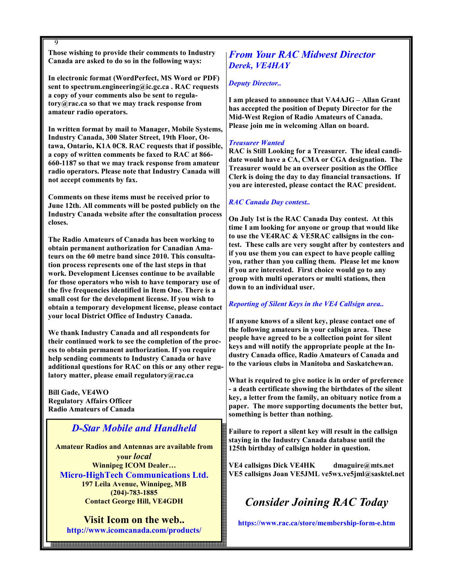9

Those wishing to provide their comments to Industry Canada are asked to do so in the following ways:

In electronic format (WordPerfect, MS Word or PDF) sent to spectrum.engineering@ic.gc.ca . RAC requests a copy of your comments also be sent to regulatory@rac.ca so that we may track response from amateur radio operators.

In written format by mail to Manager, Mobile Systems, Industry Canada, 300 Slater Street, 19th Floor, Ottawa, Ontario, K1A 0C8. RAC requests that if possible, a copy of written comments be faxed to RAC at 866- 660-1187 so that we may track response from amateur radio operators. Please note that Industry Canada will not accept comments by fax.

Comments on these items must be received prior to June 12th. All comments will be posted publicly on the Industry Canada website after the consultation process closes.

The Radio Amateurs of Canada has been working to obtain permanent authorization for Canadian Amateurs on the 60 metre band since 2010. This consultation process represents one of the last steps in that work. Development Licenses continue to be available for those operators who wish to have temporary use of the five frequencies identified in Item One. There is a small cost for the development license. If you wish to obtain a temporary development license, please contact your local District Office of Industry Canada.

We thank Industry Canada and all respondents for their continued work to see the completion of the process to obtain permanent authorization. If you require help sending comments to Industry Canada or have additional questions for RAC on this or any other regulatory matter, please email regulatory@rac.ca

Bill Gade, VE4WO Regulatory Affairs Officer Radio Amateurs of Canada

9

## D-Star Mobile and Handheld

Amateur Radios and Antennas are available from your local Winnipeg ICOM Dealer… Micro-HighTech Communications Ltd. 197 Leila Avenue, Winnipeg, MB (204)-783-1885 Contact George Hill, VE4GDH

Visit Icom on the web.. http://www.icomcanada.com/products/

## From Your RAC Midwest Director Derek, VE4HAY

#### Deputy Director..

I am pleased to announce that VA4AJG – Allan Grant has accepted the position of Deputy Director for the Mid-West Region of Radio Amateurs of Canada. Please join me in welcoming Allan on board.

#### Treasurer Wanted

RAC is Still Looking for a Treasurer. The ideal candidate would have a CA, CMA or CGA designation. The Treasurer would be an overseer position as the Office Clerk is doing the day to day financial transactions. If you are interested, please contact the RAC president.

#### RAC Canada Day contest..

On July 1st is the RAC Canada Day contest. At this time I am looking for anyone or group that would like to use the VE4RAC & VE5RAC callsigns in the contest. These calls are very sought after by contesters and if you use them you can expect to have people calling you, rather than you calling them. Please let me know if you are interested. First choice would go to any group with multi operators or multi stations, then down to an individual user.

#### Reporting of Silent Keys in the VE4 Callsign area..

If anyone knows of a silent key, please contact one of the following amateurs in your callsign area. These people have agreed to be a collection point for silent keys and will notify the appropriate people at the Industry Canada office, Radio Amateurs of Canada and to the various clubs in Manitoba and Saskatchewan.

What is required to give notice is in order of preference - a death certificate showing the birthdates of the silent key, a letter from the family, an obituary notice from a paper. The more supporting documents the better but, something is better than nothing.

Failure to report a silent key will result in the callsign staying in the Industry Canada database until the 125th birthday of callsign holder in question.

VE4 callsigns Dick VE4HK dmaguire@mts.net VE5 callsigns Joan VE5JML ve5wx.ve5jml@sasktel.net

# Consider Joining RAC Today

https://www.rac.ca/store/membership-form-e.htm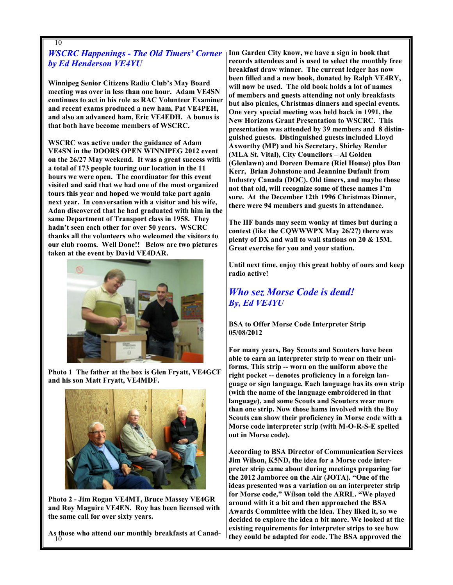## WSCRC Happenings - The Old Timers' Corner by Ed Henderson VE4YU

Winnipeg Senior Citizens Radio Club's May Board meeting was over in less than one hour. Adam VE4SN continues to act in his role as RAC Volunteer Examiner and recent exams produced a new ham, Pat VE4PEH, and also an advanced ham, Eric VE4EDH. A bonus is that both have become members of WSCRC.

WSCRC was active under the guidance of Adam VE4SN in the DOORS OPEN WINNIPEG 2012 event on the 26/27 May weekend. It was a great success with a total of 173 people touring our location in the 11 hours we were open. The coordinator for this event visited and said that we had one of the most organized tours this year and hoped we would take part again next year. In conversation with a visitor and his wife, Adan discovered that he had graduated with him in the same Department of Transport class in 1958. They hadn't seen each other for over 50 years. WSCRC thanks all the volunteers who welcomed the visitors to our club rooms. Well Done!! Below are two pictures taken at the event by David VE4DAR.



Photo 1 The father at the box is Glen Fryatt, VE4GCF and his son Matt Fryatt, VE4MDF.



Photo 2 - Jim Rogan VE4MT, Bruce Massey VE4GR and Roy Maguire VE4EN. Roy has been licensed with the same call for over sixty years.

As those who attend our monthly breakfasts at Canad- $10$ 

Inn Garden City know, we have a sign in book that records attendees and is used to select the monthly free breakfast draw winner. The current ledger has now been filled and a new book, donated by Ralph VE4RY, will now be used. The old book holds a lot of names of members and guests attending not only breakfasts but also picnics, Christmas dinners and special events. One very special meeting was held back in 1991, the New Horizons Grant Presentation to WSCRC. This presentation was attended by 39 members and 8 distinguished guests. Distinguished guests included Lloyd Axworthy (MP) and his Secretary, Shirley Render (MLA St. Vital), City Councilors – Al Golden (Glenlawn) and Doreen Demare (Riel House) plus Dan Kerr, Brian Johnstone and Jeannine Dufault from Industry Canada (DOC). Old timers, and maybe those not that old, will recognize some of these names I'm sure. At the December 12th 1996 Christmas Dinner, there were 94 members and guests in attendance.

The HF bands may seem wonky at times but during a contest (like the CQWWWPX May 26/27) there was plenty of DX and wall to wall stations on 20 & 15M. Great exercise for you and your station.

Until next time, enjoy this great hobby of ours and keep radio active!

## Who sez Morse Code is dead! By, Ed VE4YU

BSA to Offer Morse Code Interpreter Strip 05/08/2012

For many years, Boy Scouts and Scouters have been able to earn an interpreter strip to wear on their uniforms. This strip -- worn on the uniform above the right pocket -- denotes proficiency in a foreign language or sign language. Each language has its own strip (with the name of the language embroidered in that language), and some Scouts and Scouters wear more than one strip. Now those hams involved with the Boy Scouts can show their proficiency in Morse code with a Morse code interpreter strip (with M-O-R-S-E spelled out in Morse code).

According to BSA Director of Communication Services Jim Wilson, K5ND, the idea for a Morse code interpreter strip came about during meetings preparing for the 2012 Jamboree on the Air (JOTA). "One of the ideas presented was a variation on an interpreter strip for Morse code," Wilson told the ARRL. "We played around with it a bit and then approached the BSA Awards Committee with the idea. They liked it, so we decided to explore the idea a bit more. We looked at the existing requirements for interpreter strips to see how they could be adapted for code. The BSA approved the

10